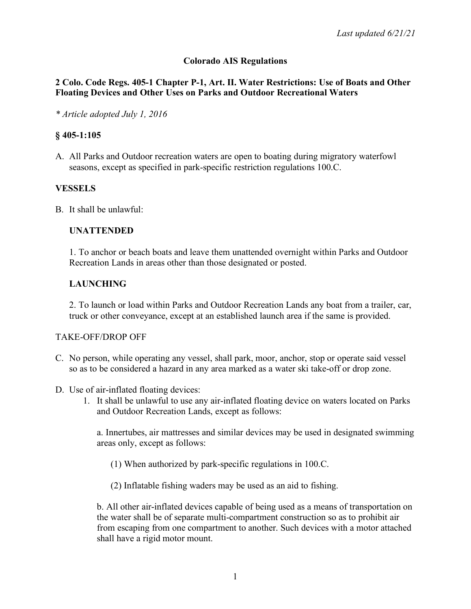## **Colorado AIS Regulations**

### **2 Colo. Code Regs. 405-1 Chapter P-1, Art. II. Water Restrictions: Use of Boats and Other Floating Devices and Other Uses on Parks and Outdoor Recreational Waters**

*\* Article adopted July 1, 2016*

### **§ 405-1:105**

A. All Parks and Outdoor recreation waters are open to boating during migratory waterfowl seasons, except as specified in park-specific restriction regulations 100.C.

## **VESSELS**

B. It shall be unlawful:

### **UNATTENDED**

1. To anchor or beach boats and leave them unattended overnight within Parks and Outdoor Recreation Lands in areas other than those designated or posted.

## **LAUNCHING**

2. To launch or load within Parks and Outdoor Recreation Lands any boat from a trailer, car, truck or other conveyance, except at an established launch area if the same is provided.

### TAKE-OFF/DROP OFF

- C. No person, while operating any vessel, shall park, moor, anchor, stop or operate said vessel so as to be considered a hazard in any area marked as a water ski take-off or drop zone.
- D. Use of air-inflated floating devices:
	- 1. It shall be unlawful to use any air-inflated floating device on waters located on Parks and Outdoor Recreation Lands, except as follows:

a. Innertubes, air mattresses and similar devices may be used in designated swimming areas only, except as follows:

(1) When authorized by park-specific regulations in 100.C.

(2) Inflatable fishing waders may be used as an aid to fishing.

b. All other air-inflated devices capable of being used as a means of transportation on the water shall be of separate multi-compartment construction so as to prohibit air from escaping from one compartment to another. Such devices with a motor attached shall have a rigid motor mount.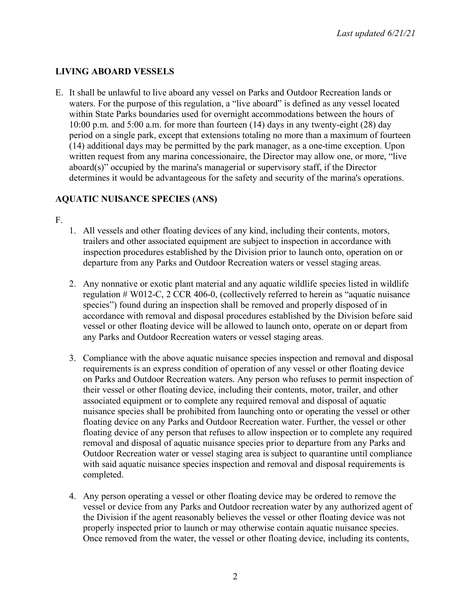## **LIVING ABOARD VESSELS**

E. It shall be unlawful to live aboard any vessel on Parks and Outdoor Recreation lands or waters. For the purpose of this regulation, a "live aboard" is defined as any vessel located within State Parks boundaries used for overnight accommodations between the hours of 10:00 p.m. and 5:00 a.m. for more than fourteen (14) days in any twenty-eight (28) day period on a single park, except that extensions totaling no more than a maximum of fourteen (14) additional days may be permitted by the park manager, as a one-time exception. Upon written request from any marina concessionaire, the Director may allow one, or more, "live aboard(s)" occupied by the marina's managerial or supervisory staff, if the Director determines it would be advantageous for the safety and security of the marina's operations.

## **AQUATIC NUISANCE SPECIES (ANS)**

- F.
- 1. All vessels and other floating devices of any kind, including their contents, motors, trailers and other associated equipment are subject to inspection in accordance with inspection procedures established by the Division prior to launch onto, operation on or departure from any Parks and Outdoor Recreation waters or vessel staging areas.
- 2. Any nonnative or exotic plant material and any aquatic wildlife species listed in wildlife regulation # W012-C, 2 CCR 406-0, (collectively referred to herein as "aquatic nuisance species") found during an inspection shall be removed and properly disposed of in accordance with removal and disposal procedures established by the Division before said vessel or other floating device will be allowed to launch onto, operate on or depart from any Parks and Outdoor Recreation waters or vessel staging areas.
- 3. Compliance with the above aquatic nuisance species inspection and removal and disposal requirements is an express condition of operation of any vessel or other floating device on Parks and Outdoor Recreation waters. Any person who refuses to permit inspection of their vessel or other floating device, including their contents, motor, trailer, and other associated equipment or to complete any required removal and disposal of aquatic nuisance species shall be prohibited from launching onto or operating the vessel or other floating device on any Parks and Outdoor Recreation water. Further, the vessel or other floating device of any person that refuses to allow inspection or to complete any required removal and disposal of aquatic nuisance species prior to departure from any Parks and Outdoor Recreation water or vessel staging area is subject to quarantine until compliance with said aquatic nuisance species inspection and removal and disposal requirements is completed.
- 4. Any person operating a vessel or other floating device may be ordered to remove the vessel or device from any Parks and Outdoor recreation water by any authorized agent of the Division if the agent reasonably believes the vessel or other floating device was not properly inspected prior to launch or may otherwise contain aquatic nuisance species. Once removed from the water, the vessel or other floating device, including its contents,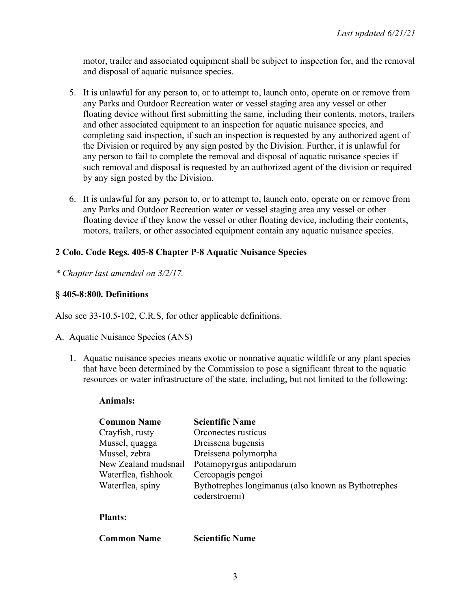motor, trailer and associated equipment shall be subject to inspection for, and the removal and disposal of aquatic nuisance species.

- 5. It is unlawful for any person to, or to attempt to, launch onto, operate on or remove from any Parks and Outdoor Recreation water or vessel staging area any vessel or other floating device without first submitting the same, including their contents, motors, trailers and other associated equipment to an inspection for aquatic nuisance species, and completing said inspection, if such an inspection is requested by any authorized agent of the Division or required by any sign posted by the Division. Further, it is unlawful for any person to fail to complete the removal and disposal of aquatic nuisance species if such removal and disposal is requested by an authorized agent of the division or required by any sign posted by the Division.
- 6. It is unlawful for any person to, or to attempt to, launch onto, operate on or remove from any Parks and Outdoor Recreation water or vessel staging area any vessel or other floating device if they know the vessel or other floating device, including their contents, motors, trailers, or other associated equipment contain any aquatic nuisance species.

### **2 Colo. Code Regs. 405-8 Chapter P-8 Aquatic Nuisance Species**

*\* Chapter last amended on 3/2/17.*

### **§ 405-8:800. Definitions**

Also see 33-10.5-102, C.R.S, for other applicable definitions.

- A. Aquatic Nuisance Species (ANS)
	- 1. Aquatic nuisance species means exotic or nonnative aquatic wildlife or any plant species that have been determined by the Commission to pose a significant threat to the aquatic resources or water infrastructure of the state, including, but not limited to the following:

#### **Animals:**

| <b>Common Name</b>   | <b>Scientific Name</b>                              |
|----------------------|-----------------------------------------------------|
| Crayfish, rusty      | Orconectes rusticus                                 |
| Mussel, quagga       | Dreissena bugensis                                  |
| Mussel, zebra        | Dreissena polymorpha                                |
| New Zealand mudsnail | Potamopyrgus antipodarum                            |
| Waterflea, fishhook  | Cercopagis pengoi                                   |
| Waterflea, spiny     | Bythotrephes longimanus (also known as Bythotrephes |
|                      | cederstroemi)                                       |
|                      |                                                     |

#### **Plants:**

| <b>Common Name</b> | <b>Scientific Name</b> |
|--------------------|------------------------|
|--------------------|------------------------|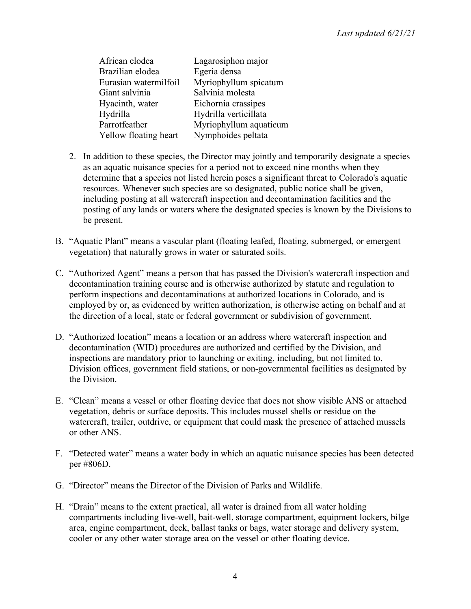| African elodea        | Lagarosiphon major     |
|-----------------------|------------------------|
| Brazilian elodea      | Egeria densa           |
| Eurasian watermilfoil | Myriophyllum spicatum  |
| Giant salvinia        | Salvinia molesta       |
| Hyacinth, water       | Eichornia crassipes    |
| Hydrilla              | Hydrilla verticillata  |
| Parrotfeather         | Myriophyllum aquaticum |
| Yellow floating heart | Nymphoides peltata     |

- 2. In addition to these species, the Director may jointly and temporarily designate a species as an aquatic nuisance species for a period not to exceed nine months when they determine that a species not listed herein poses a significant threat to Colorado's aquatic resources. Whenever such species are so designated, public notice shall be given, including posting at all watercraft inspection and decontamination facilities and the posting of any lands or waters where the designated species is known by the Divisions to be present.
- B. "Aquatic Plant" means a vascular plant (floating leafed, floating, submerged, or emergent vegetation) that naturally grows in water or saturated soils.
- C. "Authorized Agent" means a person that has passed the Division's watercraft inspection and decontamination training course and is otherwise authorized by statute and regulation to perform inspections and decontaminations at authorized locations in Colorado, and is employed by or, as evidenced by written authorization, is otherwise acting on behalf and at the direction of a local, state or federal government or subdivision of government.
- D. "Authorized location" means a location or an address where watercraft inspection and decontamination (WID) procedures are authorized and certified by the Division, and inspections are mandatory prior to launching or exiting, including, but not limited to, Division offices, government field stations, or non-governmental facilities as designated by the Division.
- E. "Clean" means a vessel or other floating device that does not show visible ANS or attached vegetation, debris or surface deposits. This includes mussel shells or residue on the watercraft, trailer, outdrive, or equipment that could mask the presence of attached mussels or other ANS.
- F. "Detected water" means a water body in which an aquatic nuisance species has been detected per #806D.
- G. "Director" means the Director of the Division of Parks and Wildlife.
- H. "Drain" means to the extent practical, all water is drained from all water holding compartments including live-well, bait-well, storage compartment, equipment lockers, bilge area, engine compartment, deck, ballast tanks or bags, water storage and delivery system, cooler or any other water storage area on the vessel or other floating device.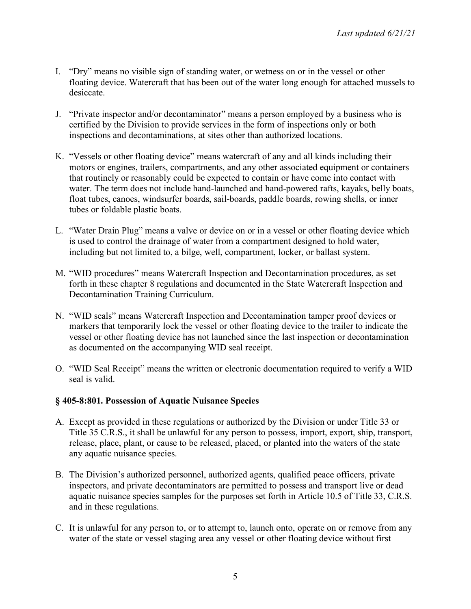- I. "Dry" means no visible sign of standing water, or wetness on or in the vessel or other floating device. Watercraft that has been out of the water long enough for attached mussels to desiccate.
- J. "Private inspector and/or decontaminator" means a person employed by a business who is certified by the Division to provide services in the form of inspections only or both inspections and decontaminations, at sites other than authorized locations.
- K. "Vessels or other floating device" means watercraft of any and all kinds including their motors or engines, trailers, compartments, and any other associated equipment or containers that routinely or reasonably could be expected to contain or have come into contact with water. The term does not include hand-launched and hand-powered rafts, kayaks, belly boats, float tubes, canoes, windsurfer boards, sail-boards, paddle boards, rowing shells, or inner tubes or foldable plastic boats.
- L. "Water Drain Plug" means a valve or device on or in a vessel or other floating device which is used to control the drainage of water from a compartment designed to hold water, including but not limited to, a bilge, well, compartment, locker, or ballast system.
- M. "WID procedures" means Watercraft Inspection and Decontamination procedures, as set forth in these chapter 8 regulations and documented in the State Watercraft Inspection and Decontamination Training Curriculum.
- N. "WID seals" means Watercraft Inspection and Decontamination tamper proof devices or markers that temporarily lock the vessel or other floating device to the trailer to indicate the vessel or other floating device has not launched since the last inspection or decontamination as documented on the accompanying WID seal receipt.
- O. "WID Seal Receipt" means the written or electronic documentation required to verify a WID seal is valid.

## **§ 405-8:801. Possession of Aquatic Nuisance Species**

- A. Except as provided in these regulations or authorized by the Division or under Title 33 or Title 35 C.R.S., it shall be unlawful for any person to possess, import, export, ship, transport, release, place, plant, or cause to be released, placed, or planted into the waters of the state any aquatic nuisance species.
- B. The Division's authorized personnel, authorized agents, qualified peace officers, private inspectors, and private decontaminators are permitted to possess and transport live or dead aquatic nuisance species samples for the purposes set forth in Article 10.5 of Title 33, C.R.S. and in these regulations.
- C. It is unlawful for any person to, or to attempt to, launch onto, operate on or remove from any water of the state or vessel staging area any vessel or other floating device without first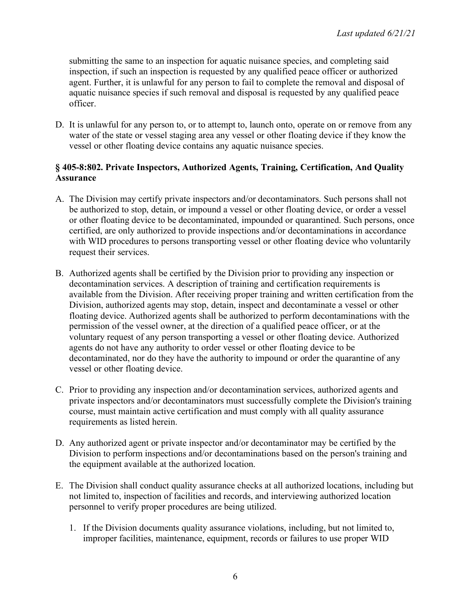submitting the same to an inspection for aquatic nuisance species, and completing said inspection, if such an inspection is requested by any qualified peace officer or authorized agent. Further, it is unlawful for any person to fail to complete the removal and disposal of aquatic nuisance species if such removal and disposal is requested by any qualified peace officer.

D. It is unlawful for any person to, or to attempt to, launch onto, operate on or remove from any water of the state or vessel staging area any vessel or other floating device if they know the vessel or other floating device contains any aquatic nuisance species.

### **§ 405-8:802. Private Inspectors, Authorized Agents, Training, Certification, And Quality Assurance**

- A. The Division may certify private inspectors and/or decontaminators. Such persons shall not be authorized to stop, detain, or impound a vessel or other floating device, or order a vessel or other floating device to be decontaminated, impounded or quarantined. Such persons, once certified, are only authorized to provide inspections and/or decontaminations in accordance with WID procedures to persons transporting vessel or other floating device who voluntarily request their services.
- B. Authorized agents shall be certified by the Division prior to providing any inspection or decontamination services. A description of training and certification requirements is available from the Division. After receiving proper training and written certification from the Division, authorized agents may stop, detain, inspect and decontaminate a vessel or other floating device. Authorized agents shall be authorized to perform decontaminations with the permission of the vessel owner, at the direction of a qualified peace officer, or at the voluntary request of any person transporting a vessel or other floating device. Authorized agents do not have any authority to order vessel or other floating device to be decontaminated, nor do they have the authority to impound or order the quarantine of any vessel or other floating device.
- C. Prior to providing any inspection and/or decontamination services, authorized agents and private inspectors and/or decontaminators must successfully complete the Division's training course, must maintain active certification and must comply with all quality assurance requirements as listed herein.
- D. Any authorized agent or private inspector and/or decontaminator may be certified by the Division to perform inspections and/or decontaminations based on the person's training and the equipment available at the authorized location.
- E. The Division shall conduct quality assurance checks at all authorized locations, including but not limited to, inspection of facilities and records, and interviewing authorized location personnel to verify proper procedures are being utilized.
	- 1. If the Division documents quality assurance violations, including, but not limited to, improper facilities, maintenance, equipment, records or failures to use proper WID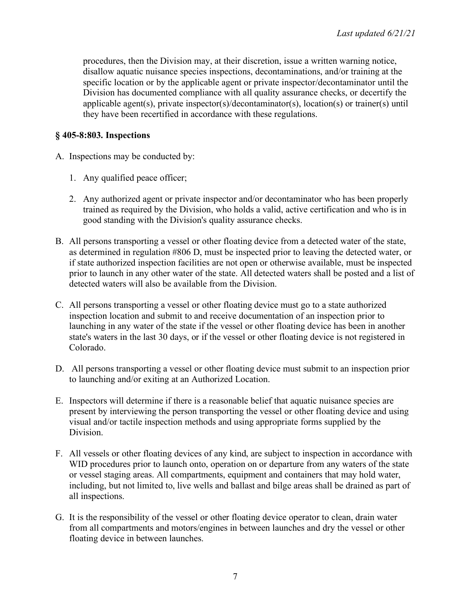procedures, then the Division may, at their discretion, issue a written warning notice, disallow aquatic nuisance species inspections, decontaminations, and/or training at the specific location or by the applicable agent or private inspector/decontaminator until the Division has documented compliance with all quality assurance checks, or decertify the applicable agent(s), private inspector(s)/decontaminator(s), location(s) or trainer(s) until they have been recertified in accordance with these regulations.

## **§ 405-8:803. Inspections**

- A. Inspections may be conducted by:
	- 1. Any qualified peace officer;
	- 2. Any authorized agent or private inspector and/or decontaminator who has been properly trained as required by the Division, who holds a valid, active certification and who is in good standing with the Division's quality assurance checks.
- B. All persons transporting a vessel or other floating device from a detected water of the state, as determined in regulation #806 D, must be inspected prior to leaving the detected water, or if state authorized inspection facilities are not open or otherwise available, must be inspected prior to launch in any other water of the state. All detected waters shall be posted and a list of detected waters will also be available from the Division.
- C. All persons transporting a vessel or other floating device must go to a state authorized inspection location and submit to and receive documentation of an inspection prior to launching in any water of the state if the vessel or other floating device has been in another state's waters in the last 30 days, or if the vessel or other floating device is not registered in Colorado.
- D. All persons transporting a vessel or other floating device must submit to an inspection prior to launching and/or exiting at an Authorized Location.
- E. Inspectors will determine if there is a reasonable belief that aquatic nuisance species are present by interviewing the person transporting the vessel or other floating device and using visual and/or tactile inspection methods and using appropriate forms supplied by the Division.
- F. All vessels or other floating devices of any kind, are subject to inspection in accordance with WID procedures prior to launch onto, operation on or departure from any waters of the state or vessel staging areas. All compartments, equipment and containers that may hold water, including, but not limited to, live wells and ballast and bilge areas shall be drained as part of all inspections.
- G. It is the responsibility of the vessel or other floating device operator to clean, drain water from all compartments and motors/engines in between launches and dry the vessel or other floating device in between launches.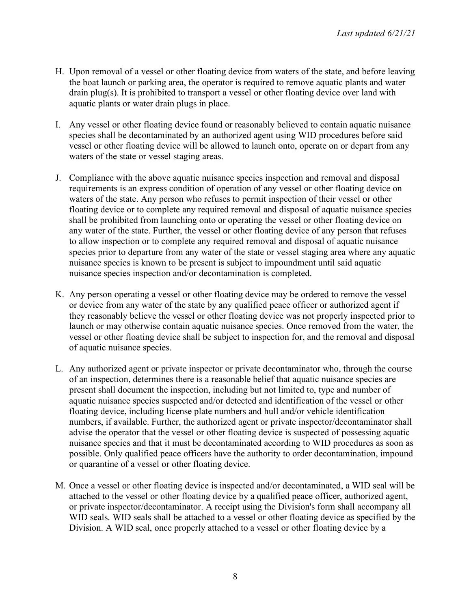- H. Upon removal of a vessel or other floating device from waters of the state, and before leaving the boat launch or parking area, the operator is required to remove aquatic plants and water drain plug(s). It is prohibited to transport a vessel or other floating device over land with aquatic plants or water drain plugs in place.
- I. Any vessel or other floating device found or reasonably believed to contain aquatic nuisance species shall be decontaminated by an authorized agent using WID procedures before said vessel or other floating device will be allowed to launch onto, operate on or depart from any waters of the state or vessel staging areas.
- J. Compliance with the above aquatic nuisance species inspection and removal and disposal requirements is an express condition of operation of any vessel or other floating device on waters of the state. Any person who refuses to permit inspection of their vessel or other floating device or to complete any required removal and disposal of aquatic nuisance species shall be prohibited from launching onto or operating the vessel or other floating device on any water of the state. Further, the vessel or other floating device of any person that refuses to allow inspection or to complete any required removal and disposal of aquatic nuisance species prior to departure from any water of the state or vessel staging area where any aquatic nuisance species is known to be present is subject to impoundment until said aquatic nuisance species inspection and/or decontamination is completed.
- K. Any person operating a vessel or other floating device may be ordered to remove the vessel or device from any water of the state by any qualified peace officer or authorized agent if they reasonably believe the vessel or other floating device was not properly inspected prior to launch or may otherwise contain aquatic nuisance species. Once removed from the water, the vessel or other floating device shall be subject to inspection for, and the removal and disposal of aquatic nuisance species.
- L. Any authorized agent or private inspector or private decontaminator who, through the course of an inspection, determines there is a reasonable belief that aquatic nuisance species are present shall document the inspection, including but not limited to, type and number of aquatic nuisance species suspected and/or detected and identification of the vessel or other floating device, including license plate numbers and hull and/or vehicle identification numbers, if available. Further, the authorized agent or private inspector/decontaminator shall advise the operator that the vessel or other floating device is suspected of possessing aquatic nuisance species and that it must be decontaminated according to WID procedures as soon as possible. Only qualified peace officers have the authority to order decontamination, impound or quarantine of a vessel or other floating device.
- M. Once a vessel or other floating device is inspected and/or decontaminated, a WID seal will be attached to the vessel or other floating device by a qualified peace officer, authorized agent, or private inspector/decontaminator. A receipt using the Division's form shall accompany all WID seals. WID seals shall be attached to a vessel or other floating device as specified by the Division. A WID seal, once properly attached to a vessel or other floating device by a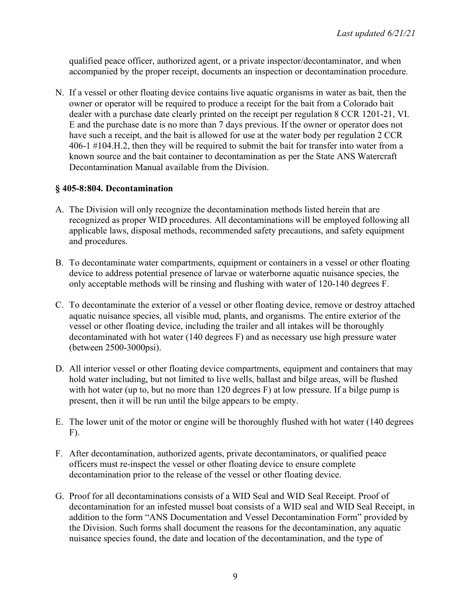qualified peace officer, authorized agent, or a private inspector/decontaminator, and when accompanied by the proper receipt, documents an inspection or decontamination procedure.

N. If a vessel or other floating device contains live aquatic organisms in water as bait, then the owner or operator will be required to produce a receipt for the bait from a Colorado bait dealer with a purchase date clearly printed on the receipt per regulation 8 CCR 1201-21, VI. E and the purchase date is no more than 7 days previous. If the owner or operator does not have such a receipt, and the bait is allowed for use at the water body per regulation 2 CCR 406-1 #104.H.2, then they will be required to submit the bait for transfer into water from a known source and the bait container to decontamination as per the State ANS Watercraft Decontamination Manual available from the Division.

### **§ 405-8:804. Decontamination**

- A. The Division will only recognize the decontamination methods listed herein that are recognized as proper WID procedures. All decontaminations will be employed following all applicable laws, disposal methods, recommended safety precautions, and safety equipment and procedures.
- B. To decontaminate water compartments, equipment or containers in a vessel or other floating device to address potential presence of larvae or waterborne aquatic nuisance species, the only acceptable methods will be rinsing and flushing with water of 120-140 degrees F.
- C. To decontaminate the exterior of a vessel or other floating device, remove or destroy attached aquatic nuisance species, all visible mud, plants, and organisms. The entire exterior of the vessel or other floating device, including the trailer and all intakes will be thoroughly decontaminated with hot water (140 degrees F) and as necessary use high pressure water (between 2500-3000psi).
- D. All interior vessel or other floating device compartments, equipment and containers that may hold water including, but not limited to live wells, ballast and bilge areas, will be flushed with hot water (up to, but no more than 120 degrees F) at low pressure. If a bilge pump is present, then it will be run until the bilge appears to be empty.
- E. The lower unit of the motor or engine will be thoroughly flushed with hot water (140 degrees F).
- F. After decontamination, authorized agents, private decontaminators, or qualified peace officers must re-inspect the vessel or other floating device to ensure complete decontamination prior to the release of the vessel or other floating device.
- G. Proof for all decontaminations consists of a WID Seal and WID Seal Receipt. Proof of decontamination for an infested mussel boat consists of a WID seal and WID Seal Receipt, in addition to the form "ANS Documentation and Vessel Decontamination Form" provided by the Division. Such forms shall document the reasons for the decontamination, any aquatic nuisance species found, the date and location of the decontamination, and the type of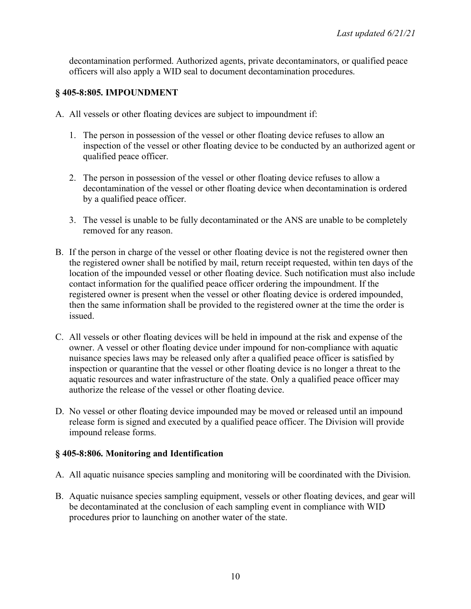decontamination performed. Authorized agents, private decontaminators, or qualified peace officers will also apply a WID seal to document decontamination procedures.

### **§ 405-8:805. IMPOUNDMENT**

- A. All vessels or other floating devices are subject to impoundment if:
	- 1. The person in possession of the vessel or other floating device refuses to allow an inspection of the vessel or other floating device to be conducted by an authorized agent or qualified peace officer.
	- 2. The person in possession of the vessel or other floating device refuses to allow a decontamination of the vessel or other floating device when decontamination is ordered by a qualified peace officer.
	- 3. The vessel is unable to be fully decontaminated or the ANS are unable to be completely removed for any reason.
- B. If the person in charge of the vessel or other floating device is not the registered owner then the registered owner shall be notified by mail, return receipt requested, within ten days of the location of the impounded vessel or other floating device. Such notification must also include contact information for the qualified peace officer ordering the impoundment. If the registered owner is present when the vessel or other floating device is ordered impounded, then the same information shall be provided to the registered owner at the time the order is issued.
- C. All vessels or other floating devices will be held in impound at the risk and expense of the owner. A vessel or other floating device under impound for non-compliance with aquatic nuisance species laws may be released only after a qualified peace officer is satisfied by inspection or quarantine that the vessel or other floating device is no longer a threat to the aquatic resources and water infrastructure of the state. Only a qualified peace officer may authorize the release of the vessel or other floating device.
- D. No vessel or other floating device impounded may be moved or released until an impound release form is signed and executed by a qualified peace officer. The Division will provide impound release forms.

## **§ 405-8:806. Monitoring and Identification**

- A. All aquatic nuisance species sampling and monitoring will be coordinated with the Division.
- B. Aquatic nuisance species sampling equipment, vessels or other floating devices, and gear will be decontaminated at the conclusion of each sampling event in compliance with WID procedures prior to launching on another water of the state.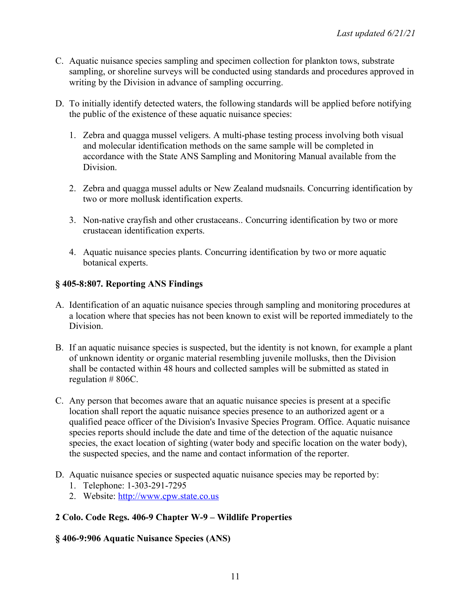- C. Aquatic nuisance species sampling and specimen collection for plankton tows, substrate sampling, or shoreline surveys will be conducted using standards and procedures approved in writing by the Division in advance of sampling occurring.
- D. To initially identify detected waters, the following standards will be applied before notifying the public of the existence of these aquatic nuisance species:
	- 1. Zebra and quagga mussel veligers. A multi-phase testing process involving both visual and molecular identification methods on the same sample will be completed in accordance with the State ANS Sampling and Monitoring Manual available from the **Division**
	- 2. Zebra and quagga mussel adults or New Zealand mudsnails. Concurring identification by two or more mollusk identification experts.
	- 3. Non-native crayfish and other crustaceans.. Concurring identification by two or more crustacean identification experts.
	- 4. Aquatic nuisance species plants. Concurring identification by two or more aquatic botanical experts.

## **§ 405-8:807. Reporting ANS Findings**

- A. Identification of an aquatic nuisance species through sampling and monitoring procedures at a location where that species has not been known to exist will be reported immediately to the Division.
- B. If an aquatic nuisance species is suspected, but the identity is not known, for example a plant of unknown identity or organic material resembling juvenile mollusks, then the Division shall be contacted within 48 hours and collected samples will be submitted as stated in regulation # 806C.
- C. Any person that becomes aware that an aquatic nuisance species is present at a specific location shall report the aquatic nuisance species presence to an authorized agent or a qualified peace officer of the Division's Invasive Species Program. Office. Aquatic nuisance species reports should include the date and time of the detection of the aquatic nuisance species, the exact location of sighting (water body and specific location on the water body), the suspected species, and the name and contact information of the reporter.
- D. Aquatic nuisance species or suspected aquatic nuisance species may be reported by:
	- 1. Telephone: 1-303-291-7295
	- 2. Website: http://www.cpw.state.co.us

# **2 Colo. Code Regs. 406-9 Chapter W-9 – Wildlife Properties**

## **§ 406-9:906 Aquatic Nuisance Species (ANS)**